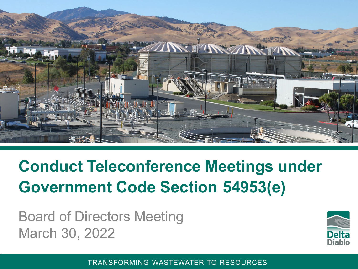

#### **Conduct Teleconference Meetings under Government Code Section 54953(e)**

Board of Directors Meeting March 30, 2022



TRANSFORMING WASTEWATER TO RESOURCES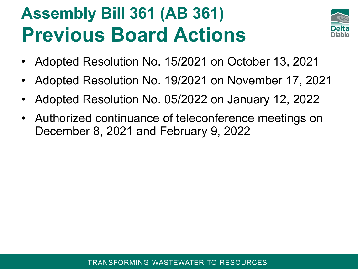## **Assembly Bill 361 (AB 361) Previous Board Actions**



- Adopted Resolution No. 15/2021 on October 13, 2021
- Adopted Resolution No. 19/2021 on November 17, 2021
- Adopted Resolution No. 05/2022 on January 12, 2022
- Authorized continuance of teleconference meetings on December 8, 2021 and February 9, 2022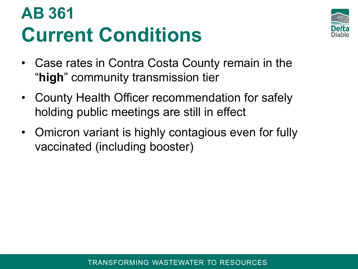## **AB 361 Current Conditions**



- Case rates in Contra Costa County remain in the "**high**" community transmission tier
- County Health Officer recommendation for safely holding public meetings are still in effect
- Omicron variant is highly contagious even for fully vaccinated (including booster)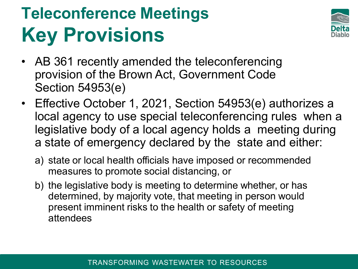# **Teleconference Meetings Key Provisions**



- AB 361 recently amended the teleconferencing provision of the Brown Act, Government Code Section 54953(e)
- Effective October 1, 2021, Section 54953(e) authorizes a local agency to use special teleconferencing rules when a legislative body of a local agency holds a meeting during a state of emergency declared by the state and either:
	- a) state or local health officials have imposed or recommended measures to promote social distancing, or
	- b) the legislative body is meeting to determine whether, or has determined, by majority vote, that meeting in person would present imminent risks to the health or safety of meeting attendees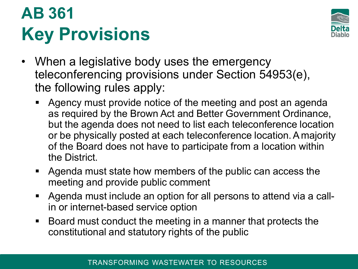## **AB 361 Key Provisions**



- When a legislative body uses the emergency teleconferencing provisions under Section 54953(e), the following rules apply:
	- **Agency must provide notice of the meeting and post an agenda** as required by the Brown Act and Better Government Ordinance, but the agenda does not need to list each teleconference location or be physically posted at each teleconference location.A majority of the Board does not have to participate from a location within the District.
	- Agenda must state how members of the public can access the meeting and provide public comment
	- Agenda must include an option for all persons to attend via a callin or internet-based service option
	- Board must conduct the meeting in a manner that protects the constitutional and statutory rights of the public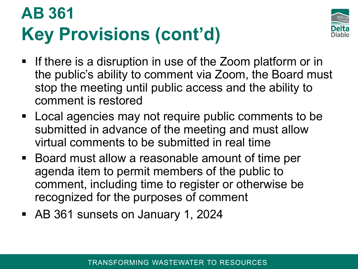## **AB 361 Key Provisions (cont'd)**



- **If there is a disruption in use of the Zoom platform or in** the public's ability to comment via Zoom, the Board must stop the meeting until public access and the ability to comment is restored
- Local agencies may not require public comments to be submitted in advance of the meeting and must allow virtual comments to be submitted in real time
- Board must allow a reasonable amount of time per agenda item to permit members of the public to comment, including time to register or otherwise be recognized for the purposes of comment
- AB 361 sunsets on January 1, 2024